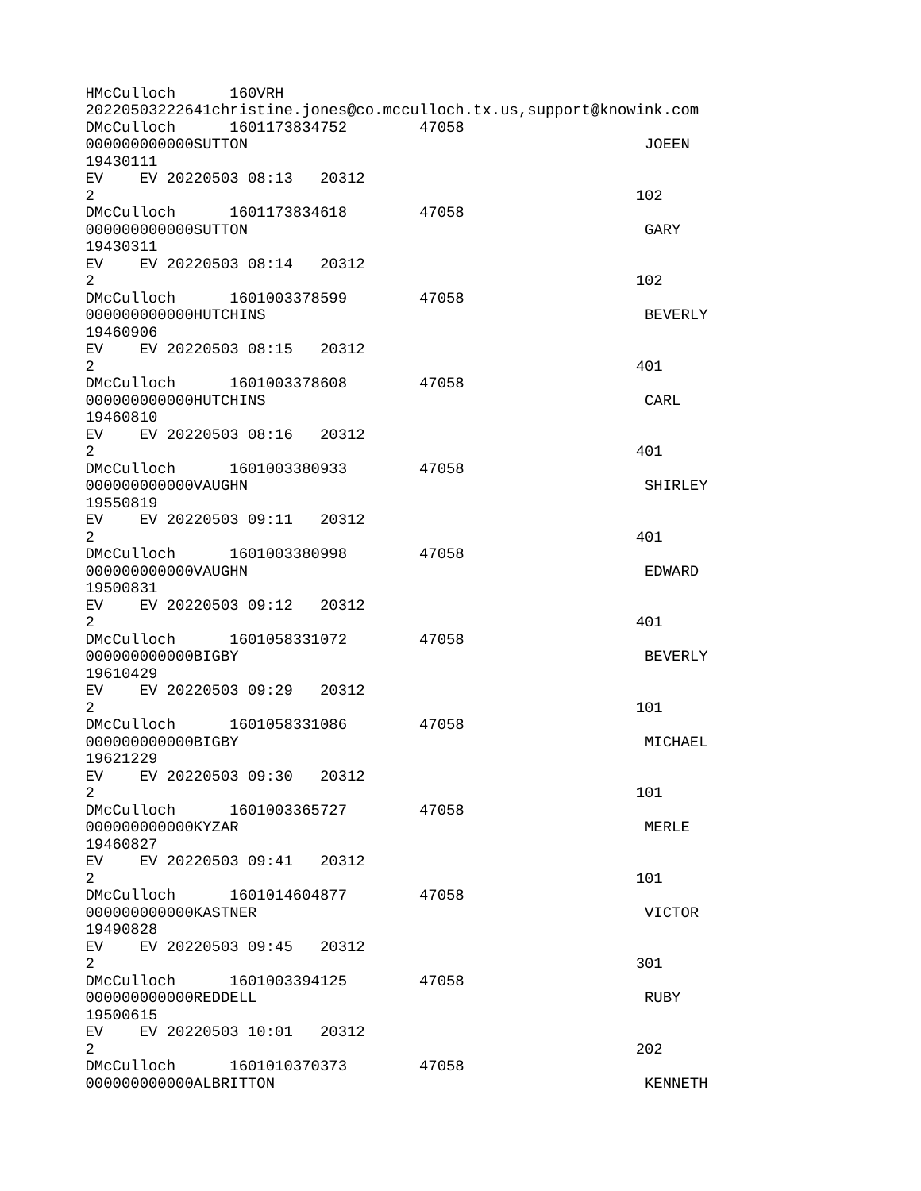HMcCulloch 160VRH 20220503222641christine.jones@co.mcculloch.tx.us,support@knowink.com DMcCulloch 1601173834752 47058 000000000000SUTTON JOEEN 19430111 EV EV 20220503 08:13 20312  $2 \t 102$ DMcCulloch 1601173834618 47058 000000000000SUTTON GARY 19430311 EV EV 20220503 08:14 20312  $2 \t 102$ DMcCulloch 1601003378599 47058 000000000000HUTCHINS BEVERLY 19460906 EV EV 20220503 08:15 20312  $2 \times 401$ DMcCulloch 1601003378608 47058 000000000000HUTCHINS CARL 19460810 EV EV 20220503 08:16 20312  $2^{401}$ DMcCulloch 1601003380933 47058 000000000000VAUGHN SHIRLEY 19550819 EV EV 20220503 09:11 20312  $2 \times 401$ DMcCulloch 1601003380998 47058 000000000000VAUGHN EDWARD 19500831 EV EV 20220503 09:12 20312  $2 \times 401$ DMcCulloch 1601058331072 47058 000000000000BIGBY BEVERLY 19610429 EV EV 20220503 09:29 20312  $2 \t 101$ DMcCulloch 1601058331086 47058 0000000000000BIGBY MICHAEL NEWSLOP MEDIAN MEDIAN MEDIAN MEDIAN MEDIAN MEDIAN MEDIAN MEDIAN MEDIAN MEDIAN MEDIA 19621229 EV EV 20220503 09:30 20312  $2 \t 101$ DMcCulloch 1601003365727 47058 000000000000KYZAR MERLE 19460827 EV EV 20220503 09:41 20312  $2 \t 101$ DMcCulloch 1601014604877 47058 000000000000KASTNER VICTOR 19490828 EV EV 20220503 09:45 20312  $2\,$ DMcCulloch 1601003394125 47058 000000000000REDDELL RUBY 19500615 EV EV 20220503 10:01 20312  $2^{\circ}$ DMcCulloch 1601010370373 47058 000000000000ALBRITTON KENNETH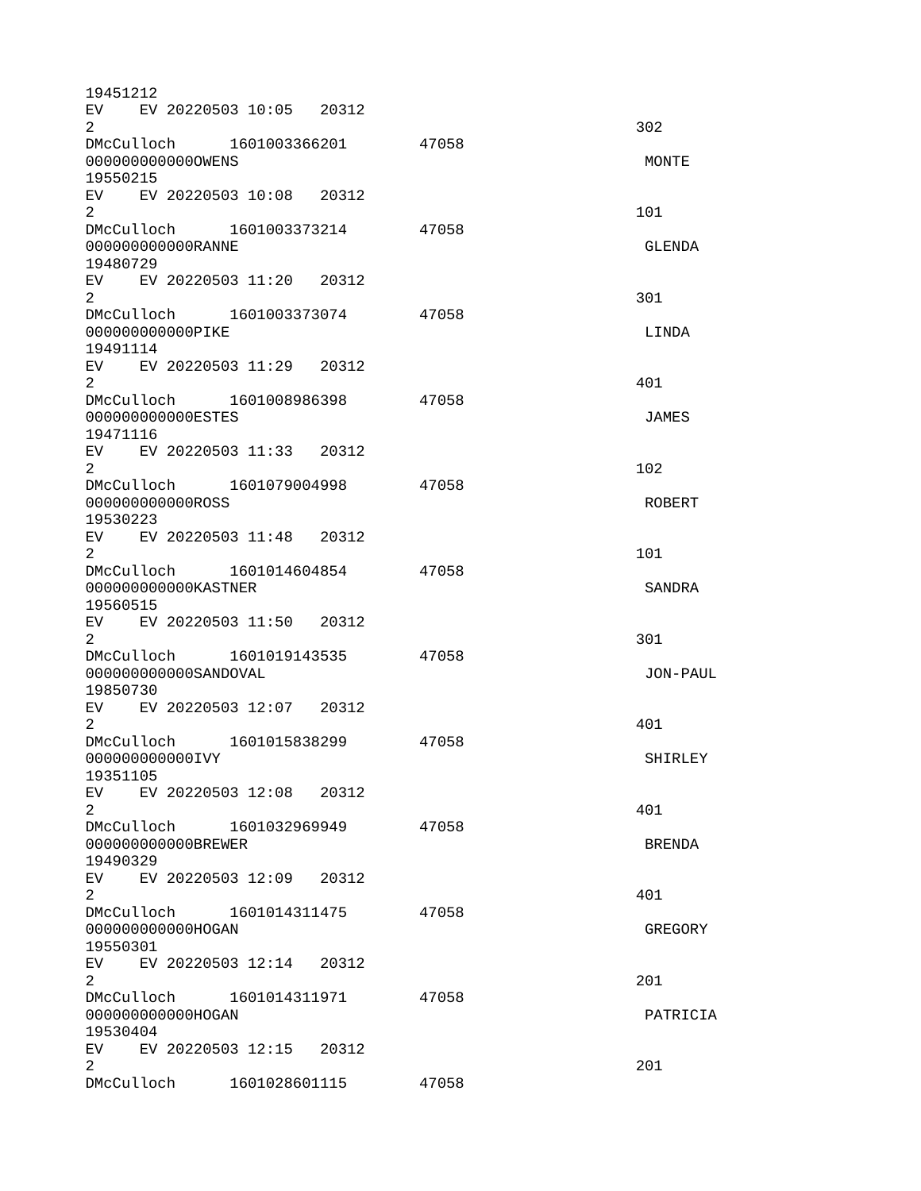19451212 EV EV 20220503 10:05 20312  $2 \times 302$ DMcCulloch 1601003366201 47058 000000000000OWENS MONTE 19550215 EV EV 20220503 10:08 20312  $2 \t 101$ DMcCulloch 1601003373214 47058 000000000000RANNE GLENDA 19480729 EV EV 20220503 11:20 20312  $2\,$ DMcCulloch 1601003373074 47058 0000000000000PIKE LINDA 19491114 EV EV 20220503 11:29 20312  $2^{401}$ DMcCulloch 1601008986398 47058 000000000000ESTES JAMES 19471116 EV EV 20220503 11:33 20312  $2 \t 102$ DMcCulloch 1601079004998 47058 000000000000ROSS ROBERT 19530223 EV EV 20220503 11:48 20312  $2 \t 101$ DMcCulloch 1601014604854 47058 000000000000KASTNER SANDRA 19560515 EV EV 20220503 11:50 20312  $2\,$ DMcCulloch 1601019143535 47058 000000000000SANDOVAL JON-PAUL 19850730 EV EV 20220503 12:07 20312  $2^{401}$ DMcCulloch 1601015838299 47058 0000000000000IVY SHIRLEY 19351105 EV EV 20220503 12:08 20312  $2 \times 401$ DMcCulloch 1601032969949 47058 000000000000BREWER BRENDA 19490329 EV EV 20220503 12:09 20312  $2^{401}$ DMcCulloch 1601014311475 47058 00000000000000HOGAN GREGORY GREGORY 19550301 EV EV 20220503 12:14 20312  $2<sup>2</sup>$ DMcCulloch 1601014311971 47058 0000000000000HOGAN PATRICIA 19530404 EV EV 20220503 12:15 20312 2 and  $\overline{201}$ DMcCulloch 1601028601115 47058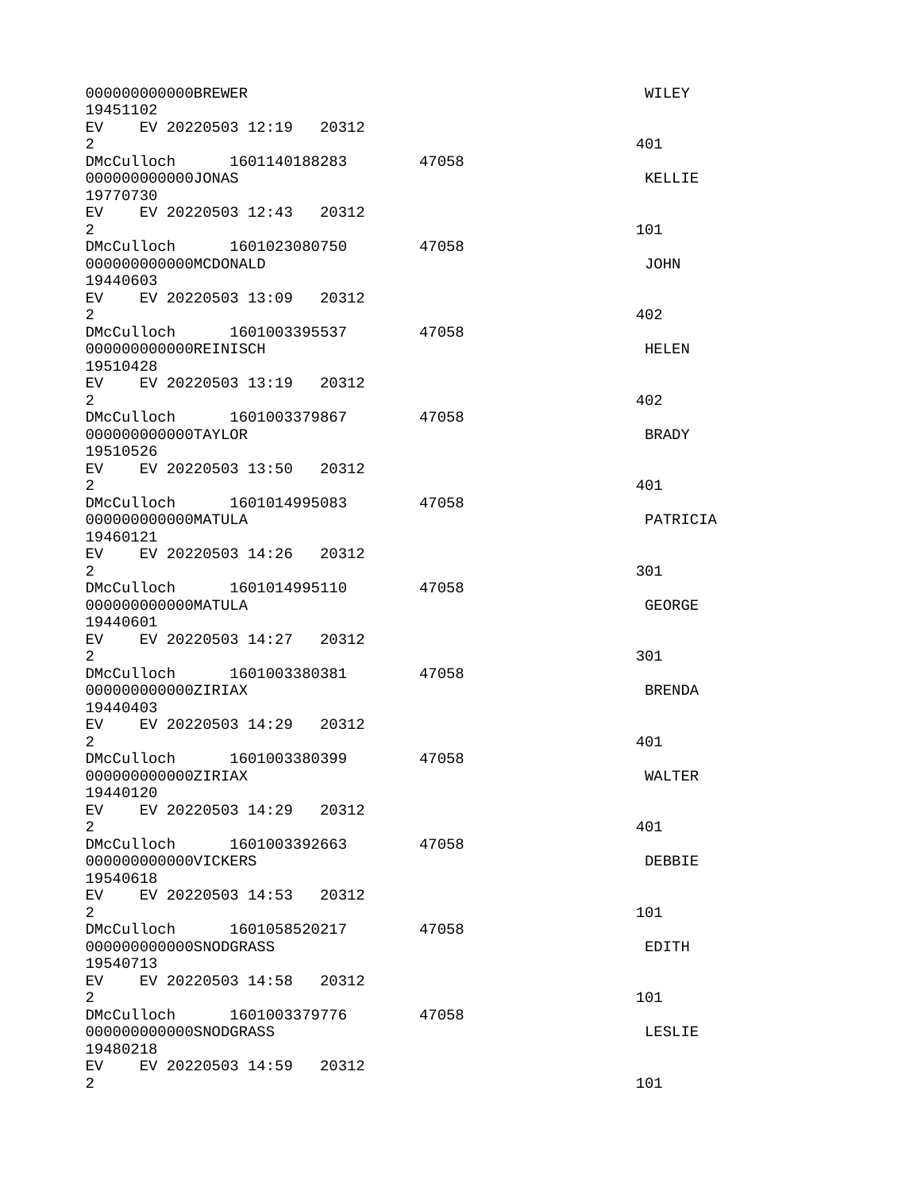| 19451102              | 000000000000BREWER                                |                                |       | WILEY         |
|-----------------------|---------------------------------------------------|--------------------------------|-------|---------------|
| $\overline{2}$        | EV EV 20220503 12:19 20312                        |                                |       | 401           |
| 19770730              | 000000000000J0NAS                                 | DMcCulloch 1601140188283 47058 |       | KELLIE        |
| $\overline{2}$        | EV EV 20220503 12:43 20312                        |                                |       | 101           |
| 19440603              | 000000000000MCD0NALD                              | DMcCulloch 1601023080750 47058 |       | <b>JOHN</b>   |
| $\overline{2}$        | EV EV 20220503 13:09 20312                        |                                |       | 402           |
| 19510428              | 000000000000REINISCH                              | DMcCulloch 1601003395537 47058 |       | HELEN         |
| $\mathbf{2}^{\circ}$  | EV EV 20220503 13:19 20312                        |                                |       | 402           |
| 19510526              | 000000000000TAYLOR                                | DMcCulloch 1601003379867 47058 |       | <b>BRADY</b>  |
| $\overline{2}$        | EV EV 20220503 13:50 20312                        |                                |       | 401           |
| 19460121              | 00000000000MATULA                                 | DMcCulloch 1601014995083 47058 |       | PATRICIA      |
| $\overline{2}$        | EV EV 20220503 14:26 20312                        |                                |       | 301           |
| 19440601              | 00000000000MATULA                                 |                                | 47058 | <b>GEORGE</b> |
| $\overline{2}$        | EV EV 20220503 14:27 20312                        |                                |       | 301           |
| 19440403              | 000000000000ZIRIAX                                | DMcCulloch 1601003380381 47058 |       | <b>BRENDA</b> |
| 2                     | EV EV 20220503 14:29 20312                        |                                |       | 401           |
| 19440120              | DMcCulloch 1601003380399<br>000000000000ZIRIAX    |                                | 47058 | WALTER        |
| $2^{\circ}$           | EV EV 20220503 14:29 20312                        |                                |       | 401           |
| 19540618              | DMcCulloch 1601003392663<br>000000000000VICKERS   |                                | 47058 | DEBBIE        |
| $\mathbf{2}^{\prime}$ | EV EV 20220503 14:53 20312                        |                                |       | 101           |
| 19540713              | DMcCulloch 1601058520217<br>000000000000SNODGRASS |                                | 47058 | EDITH         |
| $\overline{2}$        | EV EV 20220503 14:58 20312                        |                                |       | 101           |
| 19480218              | DMcCulloch 1601003379776<br>000000000000SN0DGRASS |                                | 47058 | LESLIE        |
| $\overline{2}$        | EV EV 20220503 14:59 20312                        |                                |       | 101           |